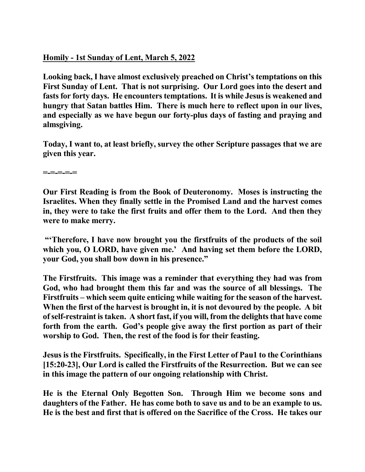## **Homily - 1st Sunday of Lent, March 5, 2022**

**Looking back, I have almost exclusively preached on Christ's temptations on this First Sunday of Lent. That is not surprising. Our Lord goes into the desert and fasts for forty days. He encounters temptations. It is while Jesus is weakened and hungry that Satan battles Him. There is much here to reflect upon in our lives, and especially as we have begun our forty-plus days of fasting and praying and almsgiving.** 

**Today, I want to, at least briefly, survey the other Scripture passages that we are given this year.** 

**=-=-=-=-=** 

**Our First Reading is from the Book of Deuteronomy. Moses is instructing the Israelites. When they finally settle in the Promised Land and the harvest comes in, they were to take the first fruits and offer them to the Lord. And then they were to make merry.** 

**"'Therefore, I have now brought you the firstfruits of the products of the soil which you, O LORD, have given me.' And having set them before the LORD, your God, you shall bow down in his presence."** 

**The Firstfruits. This image was a reminder that everything they had was from God, who had brought them this far and was the source of all blessings. The Firstfruits – which seem quite enticing while waiting for the season of the harvest. When the first of the harvest is brought in, it is not devoured by the people. A bit of self-restraint is taken. A short fast, if you will, from the delights that have come forth from the earth. God's people give away the first portion as part of their worship to God. Then, the rest of the food is for their feasting.** 

**Jesus is the Firstfruits. Specifically, in the First Letter of Pau1 to the Corinthians [15:20-23], Our Lord is called the Firstfruits of the Resurrection. But we can see in this image the pattern of our ongoing relationship with Christ.** 

**He is the Eternal Only Begotten Son. Through Him we become sons and daughters of the Father. He has come both to save us and to be an example to us. He is the best and first that is offered on the Sacrifice of the Cross. He takes our**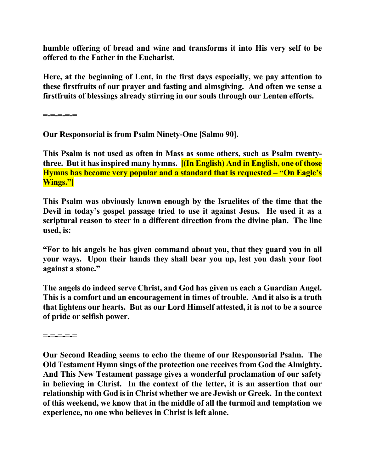**humble offering of bread and wine and transforms it into His very self to be offered to the Father in the Eucharist.** 

**Here, at the beginning of Lent, in the first days especially, we pay attention to these firstfruits of our prayer and fasting and almsgiving. And often we sense a firstfruits of blessings already stirring in our souls through our Lenten efforts.** 

**=-=-=-=-=** 

**Our Responsorial is from Psalm Ninety-One [Salmo 90].** 

**This Psalm is not used as often in Mass as some others, such as Psalm twentythree. But it has inspired many hymns. [(In English) And in English, one of those Hymns has become very popular and a standard that is requested – "On Eagle's Wings."]** 

**This Psalm was obviously known enough by the Israelites of the time that the Devil in today's gospel passage tried to use it against Jesus. He used it as a scriptural reason to steer in a different direction from the divine plan. The line used, is:** 

**"For to his angels he has given command about you, that they guard you in all your ways. Upon their hands they shall bear you up, lest you dash your foot against a stone."** 

**The angels do indeed serve Christ, and God has given us each a Guardian Angel. This is a comfort and an encouragement in times of trouble. And it also is a truth that lightens our hearts. But as our Lord Himself attested, it is not to be a source of pride or selfish power.** 

**=-=-=-=-=** 

**Our Second Reading seems to echo the theme of our Responsorial Psalm. The Old Testament Hymn sings of the protection one receives from God the Almighty. And This New Testament passage gives a wonderful proclamation of our safety in believing in Christ. In the context of the letter, it is an assertion that our relationship with God is in Christ whether we are Jewish or Greek. In the context of this weekend, we know that in the middle of all the turmoil and temptation we experience, no one who believes in Christ is left alone.**